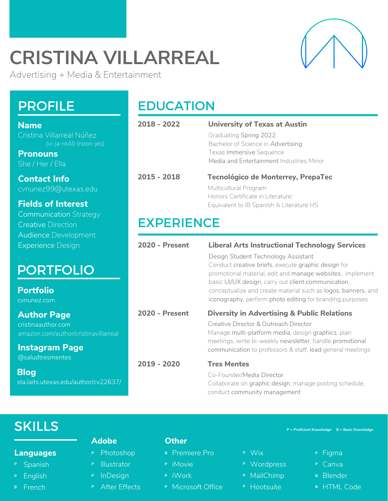# **CRISTINA VILLARREAL**

Advertising + Media & Entertainment

### **Name** Cristina Villarreal Núñez

**Pronouns** She / Her / Ella

**Contact Info** cvnunez99@utexas.edu

### **Fields of Interest**

| <b>Communication Strategy</b> |
|-------------------------------|
| <b>Creative Direction</b>     |
| <b>Audience Development</b>   |
| <b>Experience Design</b>      |

### PORTFOLIO

**Portfolio** [cvnunez.com](https://www.cvnunez.com/)

**Author Page** [cristinaauthor.com](http://www.cristinaauthor.com/) [amazon.com/author/cristinavillarreal](https://www.amazon.com/Cristina-Villarreal/e/B075K316QJ)

**Instagram Page** [@saludtresmentes](https://www.instagram.com/saludtresmentes/)

**Blog** [sta.laits.utexas.edu/author/cv22637/](https://sta.laits.utexas.edu/author/cv22637/)

### PROFILE EDUCATION

| 2018 - 2022           | <b>University of Texas at Austin</b>                                                                             |
|-----------------------|------------------------------------------------------------------------------------------------------------------|
|                       | <b>Graduating Spring 2022</b>                                                                                    |
|                       | Bachelor of Science in Advertising                                                                               |
|                       | <b>Texas Immersive Sequence</b>                                                                                  |
|                       | Media and Entertainment Industries Minor                                                                         |
| $2015 - 2018$         | Tecnológico de Monterrey, PrepaTec                                                                               |
|                       | Multicultural Program                                                                                            |
|                       | Honors Certificate in Literature:                                                                                |
|                       | Equivalent to IB Spanish A Literature HS                                                                         |
| <b>EXPERIENCE</b>     |                                                                                                                  |
|                       |                                                                                                                  |
| <b>2020 - Present</b> | <b>Liberal Arts Instructional Technology Services</b>                                                            |
|                       | Design Student Technology Assistant                                                                              |
|                       | Conduct creative briefs, execute graphic design for                                                              |
|                       | promotional material, edit and manage websites, implement<br>basic UI/UX design, carry out client communication, |
|                       | conceptualize and create material such as logos, banners, and                                                    |
|                       |                                                                                                                  |
|                       | iconography, perform photo editing for branding purposes                                                         |
| <b>2020 - Present</b> | <b>Diversity in Advertising &amp; Public Relations</b>                                                           |
|                       | Creative Director & Outreach Director                                                                            |
|                       | Manage multi-platform media, design graphics, plan                                                               |
|                       | meetings, write bi-weekly newsletter, handle promotional                                                         |
|                       | communication to professors & staff, lead general meetings                                                       |
| 2019 - 2020           | <b>Tres Mentes</b>                                                                                               |

Collaborate on graphic design, manage posting schedule, conduct community management

## **SKILLS**

#### **Languages**

- <sup>P</sup> Spanish
- English **P**
- <sup>B</sup> French

### **Adobe**

- Photoshop **P**
- P **Illustrator**
- **P** InDesign
- After Effects **P**

#### **Other**

- Premiere Pro **B**
- iMovie **P**
- iWork **P**
- Microsoft Office **P**

**P = Proficient Knowledge B = Basic Knowledge**

- Wix **P**
- Wordpress **P**
- MailChimp **P**
- Hootsuite **P**
- Figma **P**
- Canva **P**
- Blender **B**
- HTML Code **B**